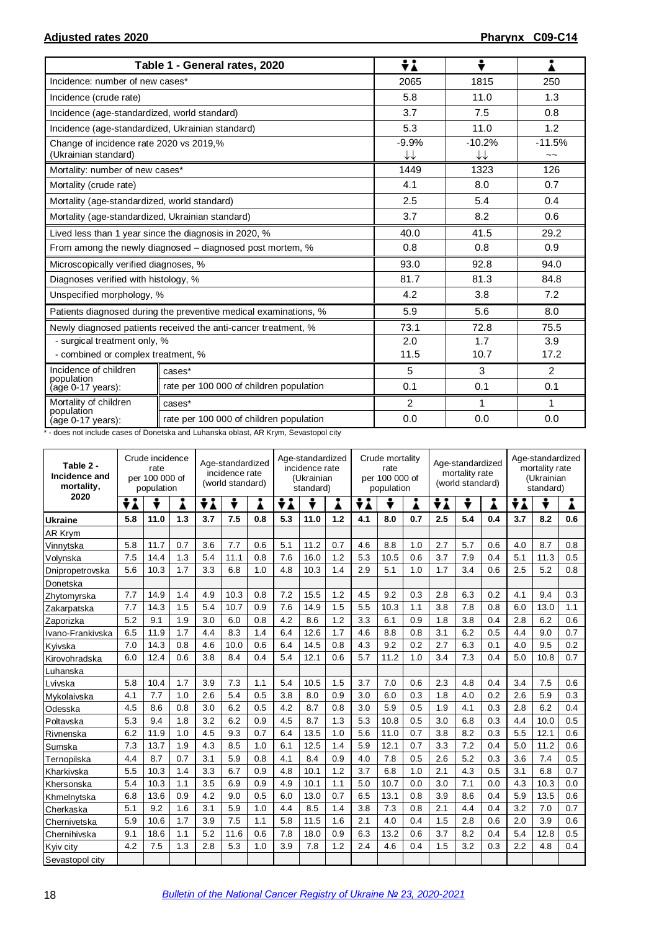|                                                                 | Table 1 - General rates, 2020                                    | ÷i                                | ÷              |                |
|-----------------------------------------------------------------|------------------------------------------------------------------|-----------------------------------|----------------|----------------|
| Incidence: number of new cases*                                 |                                                                  | 2065                              | 1815           | 250            |
| Incidence (crude rate)                                          |                                                                  | 5.8                               | 11.0           | 1.3            |
| Incidence (age-standardized, world standard)                    |                                                                  | 3.7                               | 7.5            | 0.8            |
| Incidence (age-standardized, Ukrainian standard)                |                                                                  | 5.3                               | 11.0           | 1.2            |
| Change of incidence rate 2020 vs 2019,%<br>(Ukrainian standard) |                                                                  | $-9.9%$<br>$\downarrow\downarrow$ | $-10.2%$<br>↓↓ | $-11.5%$<br>~~ |
| Mortality: number of new cases*                                 |                                                                  | 1449                              | 1323           | 126            |
| Mortality (crude rate)                                          |                                                                  | 4.1                               | 8.0            | 0.7            |
| Mortality (age-standardized, world standard)                    |                                                                  | 2.5                               | 5.4            | 0.4            |
| Mortality (age-standardized, Ukrainian standard)                |                                                                  | 3.7                               | 8.2            | 0.6            |
|                                                                 | Lived less than 1 year since the diagnosis in 2020, %            | 40.0                              | 41.5           | 29.2           |
|                                                                 | From among the newly diagnosed – diagnosed post mortem, %        | 0.8                               | 0.8            | 0.9            |
| Microscopically verified diagnoses, %                           |                                                                  | 93.0                              | 92.8           | 94.0           |
| Diagnoses verified with histology, %                            |                                                                  | 81.7                              | 81.3           | 84.8           |
| Unspecified morphology, %                                       |                                                                  | 4.2                               | 3.8            | 7.2            |
|                                                                 | Patients diagnosed during the preventive medical examinations, % | 5.9                               | 5.6            | 8.0            |
|                                                                 | Newly diagnosed patients received the anti-cancer treatment, %   | 73.1                              | 72.8           | 75.5           |
| - surgical treatment only, %                                    |                                                                  | 2.0                               | 1.7            | 3.9            |
| - combined or complex treatment, %                              |                                                                  | 11.5                              | 10.7           | 17.2           |
| Incidence of children<br>population                             | cases*                                                           | 5                                 | 3              | $\mathcal{P}$  |
| (age 0-17 years):                                               | rate per 100 000 of children population                          | 0.1                               | 0.1            | 0.1            |
| Mortality of children                                           | cases*                                                           | 2                                 | 1              | 1              |
| population<br>(age 0-17 years):                                 | rate per 100 000 of children population                          | 0.0                               | 0.0            | 0.0            |

\* - does not include cases of Donetska and Luhanska oblast, AR Krym, Sevastopol city

| Table 2 -<br>Incidence and<br>mortality, |                      | Crude incidence<br>rate<br>per 100 000 of<br>population |     | Age-standardized<br>incidence rate<br>(world standard) |      |     | Age-standardized<br>incidence rate<br>(Ukrainian<br>standard) |      |     | Crude mortality<br>rate<br>per 100 000 of<br>population |      |     | Age-standardized<br>mortality rate<br>(world standard) |     |     | Age-standardized<br>mortality rate<br>(Ukrainian<br>standard) |      |     |
|------------------------------------------|----------------------|---------------------------------------------------------|-----|--------------------------------------------------------|------|-----|---------------------------------------------------------------|------|-----|---------------------------------------------------------|------|-----|--------------------------------------------------------|-----|-----|---------------------------------------------------------------|------|-----|
|                                          | 2020<br>÷i<br>÷<br>i |                                                         |     | ÷<br>÷λ<br>Å                                           |      | ÷i  | ÷                                                             | i    | ÷λ  | ÷                                                       | i    | ÷i  | ÷                                                      | Å   | ÷i  | ÷                                                             | i    |     |
| <b>Ukraine</b>                           | 5.8                  | 11.0                                                    | 1.3 | 3.7                                                    | 7.5  | 0.8 | 5.3                                                           | 11.0 | 1.2 | 4.1                                                     | 8.0  | 0.7 | 2.5                                                    | 5.4 | 0.4 | 3.7                                                           | 8.2  | 0.6 |
| AR Krym                                  |                      |                                                         |     |                                                        |      |     |                                                               |      |     |                                                         |      |     |                                                        |     |     |                                                               |      |     |
| Vinnytska                                | 5.8                  | 11.7                                                    | 0.7 | 3.6                                                    | 7.7  | 0.6 | 5.1                                                           | 11.2 | 0.7 | 4.6                                                     | 8.8  | 1.0 | 2.7                                                    | 5.7 | 0.6 | 4.0                                                           | 8.7  | 0.8 |
| Volynska                                 | 7.5                  | 14.4                                                    | 1.3 | 5.4                                                    | 11.1 | 0.8 | 7.6                                                           | 16.0 | 1.2 | 5.3                                                     | 10.5 | 0.6 | 3.7                                                    | 7.9 | 0.4 | 5.1                                                           | 11.3 | 0.5 |
| Dnipropetrovska                          | 5.6                  | 10.3                                                    | 1.7 | 3.3                                                    | 6.8  | 1.0 | 4.8                                                           | 10.3 | 1.4 | 2.9                                                     | 5.1  | 1.0 | 1.7                                                    | 3.4 | 0.6 | 2.5                                                           | 5.2  | 0.8 |
| Donetska                                 |                      |                                                         |     |                                                        |      |     |                                                               |      |     |                                                         |      |     |                                                        |     |     |                                                               |      |     |
| Zhytomyrska                              | 7.7                  | 14.9                                                    | 1.4 | 4.9                                                    | 10.3 | 0.8 | 7.2                                                           | 15.5 | 1.2 | 4.5                                                     | 9.2  | 0.3 | 2.8                                                    | 6.3 | 0.2 | 4.1                                                           | 9.4  | 0.3 |
| Zakarpatska                              | 7.7                  | 14.3                                                    | 1.5 | 5.4                                                    | 10.7 | 0.9 | 7.6                                                           | 14.9 | 1.5 | 5.5                                                     | 10.3 | 1.1 | 3.8                                                    | 7.8 | 0.8 | 6.0                                                           | 13.0 | 1.1 |
| Zaporizka                                | 5.2                  | 9.1                                                     | 1.9 | 3.0                                                    | 6.0  | 0.8 | 4.2                                                           | 8.6  | 1.2 | 3.3                                                     | 6.1  | 0.9 | 1.8                                                    | 3.8 | 0.4 | 2.8                                                           | 6.2  | 0.6 |
| Ivano-Frankivska                         | 6.5                  | 11.9                                                    | 1.7 | 4.4                                                    | 8.3  | 1.4 | 6.4                                                           | 12.6 | 1.7 | 4.6                                                     | 8.8  | 0.8 | 3.1                                                    | 6.2 | 0.5 | 4.4                                                           | 9.0  | 0.7 |
| Kyivska                                  | 7.0                  | 14.3                                                    | 0.8 | 4.6                                                    | 10.0 | 0.6 | 6.4                                                           | 14.5 | 0.8 | 4.3                                                     | 9.2  | 0.2 | 2.7                                                    | 6.3 | 0.1 | 4.0                                                           | 9.5  | 0.2 |
| Kirovohradska                            | 6.0                  | 12.4                                                    | 0.6 | 3.8                                                    | 8.4  | 0.4 | 5.4                                                           | 12.1 | 0.6 | 5.7                                                     | 11.2 | 1.0 | 3.4                                                    | 7.3 | 0.4 | 5.0                                                           | 10.8 | 0.7 |
| Luhanska                                 |                      |                                                         |     |                                                        |      |     |                                                               |      |     |                                                         |      |     |                                                        |     |     |                                                               |      |     |
| Lvivska                                  | 5.8                  | 10.4                                                    | 1.7 | 3.9                                                    | 7.3  | 1.1 | 5.4                                                           | 10.5 | 1.5 | 3.7                                                     | 7.0  | 0.6 | 2.3                                                    | 4.8 | 0.4 | 3.4                                                           | 7.5  | 0.6 |
| Mykolaivska                              | 4.1                  | 7.7                                                     | 1.0 | 2.6                                                    | 5.4  | 0.5 | 3.8                                                           | 8.0  | 0.9 | 3.0                                                     | 6.0  | 0.3 | 1.8                                                    | 4.0 | 0.2 | 2.6                                                           | 5.9  | 0.3 |
| Odesska                                  | 4.5                  | 8.6                                                     | 0.8 | 3.0                                                    | 6.2  | 0.5 | 4.2                                                           | 8.7  | 0.8 | 3.0                                                     | 5.9  | 0.5 | 1.9                                                    | 4.1 | 0.3 | 2.8                                                           | 6.2  | 0.4 |
| Poltavska                                | 5.3                  | 9.4                                                     | 1.8 | 3.2                                                    | 6.2  | 0.9 | 4.5                                                           | 8.7  | 1.3 | 5.3                                                     | 10.8 | 0.5 | 3.0                                                    | 6.8 | 0.3 | 4.4                                                           | 10.0 | 0.5 |
| Rivnenska                                | 6.2                  | 11.9                                                    | 1.0 | 4.5                                                    | 9.3  | 0.7 | 6.4                                                           | 13.5 | 1.0 | 5.6                                                     | 11.0 | 0.7 | 3.8                                                    | 8.2 | 0.3 | 5.5                                                           | 12.1 | 0.6 |
| Sumska                                   | 7.3                  | 13.7                                                    | 1.9 | 4.3                                                    | 8.5  | 1.0 | 6.1                                                           | 12.5 | 1.4 | 5.9                                                     | 12.1 | 0.7 | 3.3                                                    | 7.2 | 0.4 | 5.0                                                           | 11.2 | 0.6 |
| Ternopilska                              | 4.4                  | 8.7                                                     | 0.7 | 3.1                                                    | 5.9  | 0.8 | 4.1                                                           | 8.4  | 0.9 | 4.0                                                     | 7.8  | 0.5 | 2.6                                                    | 5.2 | 0.3 | 3.6                                                           | 7.4  | 0.5 |
| Kharkivska                               | 5.5                  | 10.3                                                    | 1.4 | 3.3                                                    | 6.7  | 0.9 | 4.8                                                           | 10.1 | 1.2 | 3.7                                                     | 6.8  | 1.0 | 2.1                                                    | 4.3 | 0.5 | 3.1                                                           | 6.8  | 0.7 |
| Khersonska                               | 5.4                  | 10.3                                                    | 1.1 | 3.5                                                    | 6.9  | 0.9 | 4.9                                                           | 10.1 | 1.1 | 5.0                                                     | 10.7 | 0.0 | 3.0                                                    | 7.1 | 0.0 | 4.3                                                           | 10.3 | 0.0 |
| Khmelnytska                              | 6.8                  | 13.6                                                    | 0.9 | 4.2                                                    | 9.0  | 0.5 | 6.0                                                           | 13.0 | 0.7 | 6.5                                                     | 13.1 | 0.8 | 3.9                                                    | 8.6 | 0.4 | 5.9                                                           | 13.5 | 0.6 |
| Cherkaska                                | 5.1                  | 9.2                                                     | 1.6 | 3.1                                                    | 5.9  | 1.0 | 4.4                                                           | 8.5  | 1.4 | 3.8                                                     | 7.3  | 0.8 | 2.1                                                    | 4.4 | 0.4 | 3.2                                                           | 7.0  | 0.7 |
| Chernivetska                             | 5.9                  | 10.6                                                    | 1.7 | 3.9                                                    | 7.5  | 1.1 | 5.8                                                           | 11.5 | 1.6 | 2.1                                                     | 4.0  | 0.4 | 1.5                                                    | 2.8 | 0.6 | 2.0                                                           | 3.9  | 0.6 |
| Chernihivska                             | 9.1                  | 18.6                                                    | 1.1 | 5.2                                                    | 11.6 | 0.6 | 7.8                                                           | 18.0 | 0.9 | 6.3                                                     | 13.2 | 0.6 | 3.7                                                    | 8.2 | 0.4 | 5.4                                                           | 12.8 | 0.5 |
| Kyiv city                                | 4.2                  | 7.5                                                     | 1.3 | 2.8                                                    | 5.3  | 1.0 | 3.9                                                           | 7.8  | 1.2 | 2.4                                                     | 4.6  | 0.4 | 1.5                                                    | 3.2 | 0.3 | 2.2                                                           | 4.8  | 0.4 |
| Sevastopol city                          |                      |                                                         |     |                                                        |      |     |                                                               |      |     |                                                         |      |     |                                                        |     |     |                                                               |      |     |